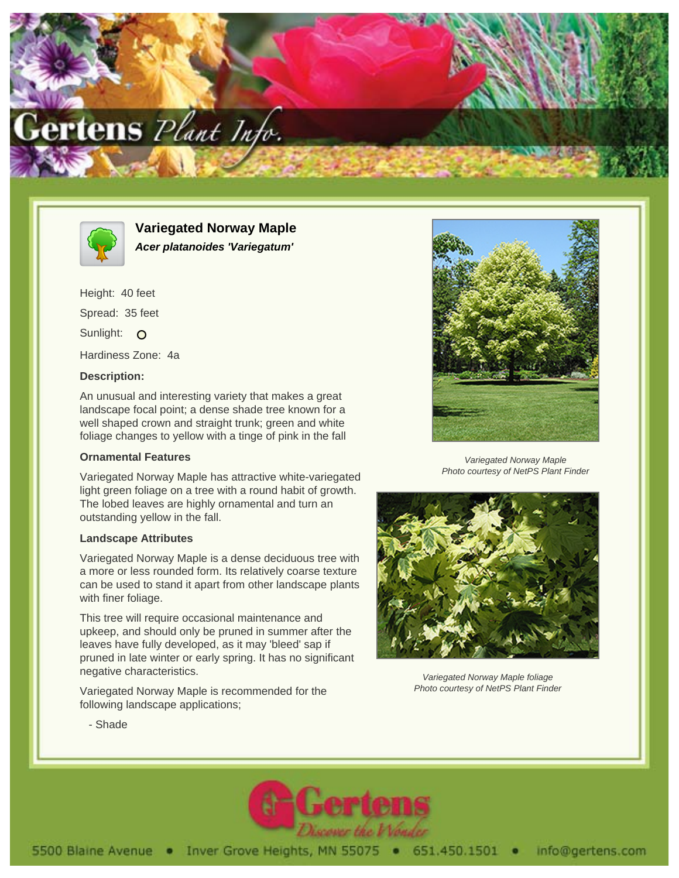



**Variegated Norway Maple Acer platanoides 'Variegatum'**

Height: 40 feet Spread: 35 feet Sunlight: O Hardiness Zone: 4a

## **Description:**

An unusual and interesting variety that makes a great landscape focal point; a dense shade tree known for a well shaped crown and straight trunk; green and white foliage changes to yellow with a tinge of pink in the fall

## **Ornamental Features**

Variegated Norway Maple has attractive white-variegated light green foliage on a tree with a round habit of growth. The lobed leaves are highly ornamental and turn an outstanding yellow in the fall.

## **Landscape Attributes**

Variegated Norway Maple is a dense deciduous tree with a more or less rounded form. Its relatively coarse texture can be used to stand it apart from other landscape plants with finer foliage.

This tree will require occasional maintenance and upkeep, and should only be pruned in summer after the leaves have fully developed, as it may 'bleed' sap if pruned in late winter or early spring. It has no significant negative characteristics.

Variegated Norway Maple is recommended for the following landscape applications;



Variegated Norway Maple Photo courtesy of NetPS Plant Finder



Variegated Norway Maple foliage Photo courtesy of NetPS Plant Finder

- Shade